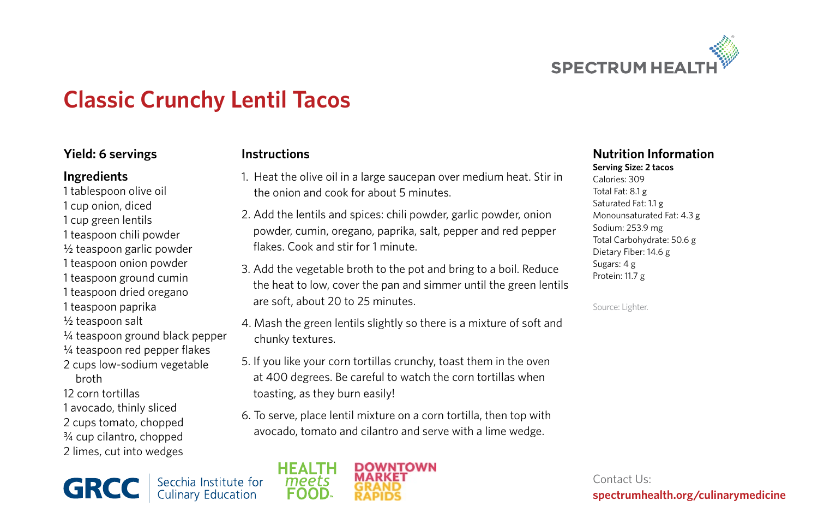

## **Classic Crunchy Lentil Tacos**

## **Yield: 6 servings**

## **Ingredients**

1 tablespoon olive oil 1 cup onion, diced 1 cup green lentils 1 teaspoon chili powder ½ teaspoon garlic powder 1 teaspoon onion powder 1 teaspoon ground cumin 1 teaspoon dried oregano 1 teaspoon paprika ½ teaspoon salt ¼ teaspoon ground black pepper ¼ teaspoon red pepper flakes 2 cups low-sodium vegetable broth 12 corn tortillas 1 avocado, thinly sliced 2 cups tomato, chopped ¾ cup cilantro, chopped 2 limes, cut into wedges

**Instructions**

- 1. Heat the olive oil in a large saucepan over medium heat. Stir in the onion and cook for about 5 minutes.
- 2. Add the lentils and spices: chili powder, garlic powder, onion powder, cumin, oregano, paprika, salt, pepper and red pepper flakes. Cook and stir for 1 minute.
- 3. Add the vegetable broth to the pot and bring to a boil. Reduce the heat to low, cover the pan and simmer until the green lentils are soft, about 20 to 25 minutes.
- 4. Mash the green lentils slightly so there is a mixture of soft and chunky textures.
- 5. If you like your corn tortillas crunchy, toast them in the oven at 400 degrees. Be careful to watch the corn tortillas when toasting, as they burn easily!
- 6. To serve, place lentil mixture on a corn tortilla, then top with avocado, tomato and cilantro and serve with a lime wedge.

Secchia Institute for<br>Culinary Education **GRCC** 



**Nutrition Information Serving Size: 2 tacos**

Calories: 309 Total Fat: 8.1 g Saturated Fat: 1.1 g Monounsaturated Fat: 4.3 g Sodium: 253.9 mg Total Carbohydrate: 50.6 g Dietary Fiber: 14.6 g Sugars: 4 g Protein: 11.7 g

Source: Lighter.

Contact Us: **spectrumhealth.org/culinarymedicine**